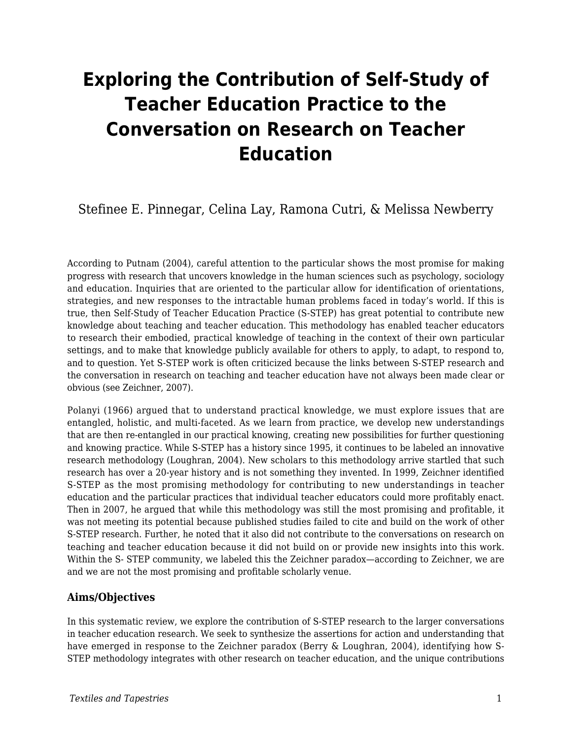# **Exploring the Contribution of Self-Study of Teacher Education Practice to the Conversation on Research on Teacher Education**

# Stefinee E. Pinnegar, Celina Lay, Ramona Cutri, & Melissa Newberry

According to Putnam (2004), careful attention to the particular shows the most promise for making progress with research that uncovers knowledge in the human sciences such as psychology, sociology and education. Inquiries that are oriented to the particular allow for identification of orientations, strategies, and new responses to the intractable human problems faced in today's world. If this is true, then Self-Study of Teacher Education Practice (S-STEP) has great potential to contribute new knowledge about teaching and teacher education. This methodology has enabled teacher educators to research their embodied, practical knowledge of teaching in the context of their own particular settings, and to make that knowledge publicly available for others to apply, to adapt, to respond to, and to question. Yet S-STEP work is often criticized because the links between S-STEP research and the conversation in research on teaching and teacher education have not always been made clear or obvious (see Zeichner, 2007).

Polanyi (1966) argued that to understand practical knowledge, we must explore issues that are entangled, holistic, and multi-faceted. As we learn from practice, we develop new understandings that are then re-entangled in our practical knowing, creating new possibilities for further questioning and knowing practice. While S-STEP has a history since 1995, it continues to be labeled an innovative research methodology (Loughran, 2004). New scholars to this methodology arrive startled that such research has over a 20-year history and is not something they invented. In 1999, Zeichner identified S-STEP as the most promising methodology for contributing to new understandings in teacher education and the particular practices that individual teacher educators could more profitably enact. Then in 2007, he argued that while this methodology was still the most promising and profitable, it was not meeting its potential because published studies failed to cite and build on the work of other S-STEP research. Further, he noted that it also did not contribute to the conversations on research on teaching and teacher education because it did not build on or provide new insights into this work. Within the S- STEP community, we labeled this the Zeichner paradox—according to Zeichner, we are and we are not the most promising and profitable scholarly venue.

# **Aims/Objectives**

In this systematic review, we explore the contribution of S-STEP research to the larger conversations in teacher education research. We seek to synthesize the assertions for action and understanding that have emerged in response to the Zeichner paradox (Berry & Loughran, 2004), identifying how S-STEP methodology integrates with other research on teacher education, and the unique contributions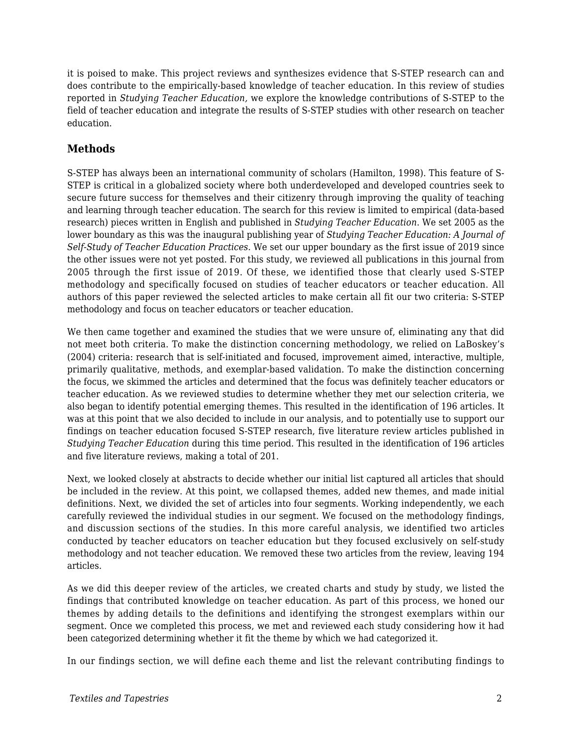it is poised to make. This project reviews and synthesizes evidence that S-STEP research can and does contribute to the empirically-based knowledge of teacher education. In this review of studies reported in *Studying Teacher Education,* we explore the knowledge contributions of S-STEP to the field of teacher education and integrate the results of S-STEP studies with other research on teacher education.

# **Methods**

S-STEP has always been an international community of scholars (Hamilton, 1998). This feature of S-STEP is critical in a globalized society where both underdeveloped and developed countries seek to secure future success for themselves and their citizenry through improving the quality of teaching and learning through teacher education. The search for this review is limited to empirical (data-based research) pieces written in English and published in *Studying Teacher Education*. We set 2005 as the lower boundary as this was the inaugural publishing year of *Studying Teacher Education: A Journal of Self-Study of Teacher Education Practices.* We set our upper boundary as the first issue of 2019 since the other issues were not yet posted. For this study, we reviewed all publications in this journal from 2005 through the first issue of 2019. Of these, we identified those that clearly used S-STEP methodology and specifically focused on studies of teacher educators or teacher education. All authors of this paper reviewed the selected articles to make certain all fit our two criteria: S-STEP methodology and focus on teacher educators or teacher education.

We then came together and examined the studies that we were unsure of, eliminating any that did not meet both criteria. To make the distinction concerning methodology, we relied on LaBoskey's (2004) criteria: research that is self-initiated and focused, improvement aimed, interactive, multiple, primarily qualitative, methods, and exemplar-based validation. To make the distinction concerning the focus, we skimmed the articles and determined that the focus was definitely teacher educators or teacher education. As we reviewed studies to determine whether they met our selection criteria, we also began to identify potential emerging themes. This resulted in the identification of 196 articles. It was at this point that we also decided to include in our analysis, and to potentially use to support our findings on teacher education focused S-STEP research, five literature review articles published in *Studying Teacher Education* during this time period*.* This resulted in the identification of 196 articles and five literature reviews, making a total of 201.

Next, we looked closely at abstracts to decide whether our initial list captured all articles that should be included in the review. At this point, we collapsed themes, added new themes, and made initial definitions. Next, we divided the set of articles into four segments. Working independently, we each carefully reviewed the individual studies in our segment. We focused on the methodology findings, and discussion sections of the studies. In this more careful analysis, we identified two articles conducted by teacher educators on teacher education but they focused exclusively on self-study methodology and not teacher education. We removed these two articles from the review, leaving 194 articles.

As we did this deeper review of the articles, we created charts and study by study, we listed the findings that contributed knowledge on teacher education. As part of this process, we honed our themes by adding details to the definitions and identifying the strongest exemplars within our segment. Once we completed this process, we met and reviewed each study considering how it had been categorized determining whether it fit the theme by which we had categorized it.

In our findings section, we will define each theme and list the relevant contributing findings to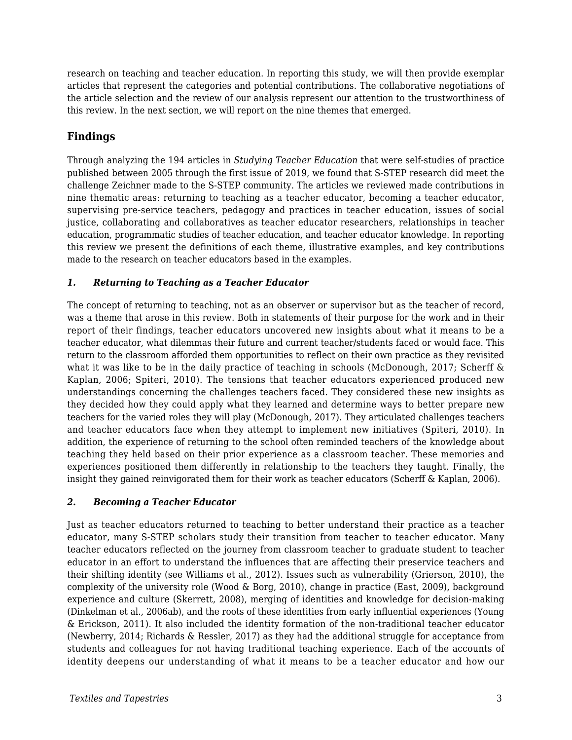research on teaching and teacher education. In reporting this study, we will then provide exemplar articles that represent the categories and potential contributions. The collaborative negotiations of the article selection and the review of our analysis represent our attention to the trustworthiness of this review. In the next section, we will report on the nine themes that emerged.

# **Findings**

Through analyzing the 194 articles in *Studying Teacher Education* that were self-studies of practice published between 2005 through the first issue of 2019, we found that S-STEP research did meet the challenge Zeichner made to the S-STEP community. The articles we reviewed made contributions in nine thematic areas: returning to teaching as a teacher educator, becoming a teacher educator, supervising pre-service teachers, pedagogy and practices in teacher education, issues of social justice, collaborating and collaboratives as teacher educator researchers, relationships in teacher education, programmatic studies of teacher education, and teacher educator knowledge. In reporting this review we present the definitions of each theme, illustrative examples, and key contributions made to the research on teacher educators based in the examples.

# *1. Returning to Teaching as a Teacher Educator*

The concept of returning to teaching, not as an observer or supervisor but as the teacher of record, was a theme that arose in this review. Both in statements of their purpose for the work and in their report of their findings, teacher educators uncovered new insights about what it means to be a teacher educator, what dilemmas their future and current teacher/students faced or would face. This return to the classroom afforded them opportunities to reflect on their own practice as they revisited what it was like to be in the daily practice of teaching in schools (McDonough, 2017; Scherff & Kaplan, 2006; Spiteri, 2010). The tensions that teacher educators experienced produced new understandings concerning the challenges teachers faced. They considered these new insights as they decided how they could apply what they learned and determine ways to better prepare new teachers for the varied roles they will play (McDonough, 2017). They articulated challenges teachers and teacher educators face when they attempt to implement new initiatives (Spiteri, 2010). In addition, the experience of returning to the school often reminded teachers of the knowledge about teaching they held based on their prior experience as a classroom teacher. These memories and experiences positioned them differently in relationship to the teachers they taught. Finally, the insight they gained reinvigorated them for their work as teacher educators (Scherff & Kaplan, 2006).

# *2. Becoming a Teacher Educator*

Just as teacher educators returned to teaching to better understand their practice as a teacher educator, many S-STEP scholars study their transition from teacher to teacher educator. Many teacher educators reflected on the journey from classroom teacher to graduate student to teacher educator in an effort to understand the influences that are affecting their preservice teachers and their shifting identity (see Williams et al., 2012). Issues such as vulnerability (Grierson, 2010), the complexity of the university role (Wood & Borg, 2010), change in practice (East, 2009), background experience and culture (Skerrett, 2008), merging of identities and knowledge for decision-making (Dinkelman et al., 2006ab), and the roots of these identities from early influential experiences (Young & Erickson, 2011). It also included the identity formation of the non-traditional teacher educator (Newberry, 2014; Richards & Ressler, 2017) as they had the additional struggle for acceptance from students and colleagues for not having traditional teaching experience. Each of the accounts of identity deepens our understanding of what it means to be a teacher educator and how our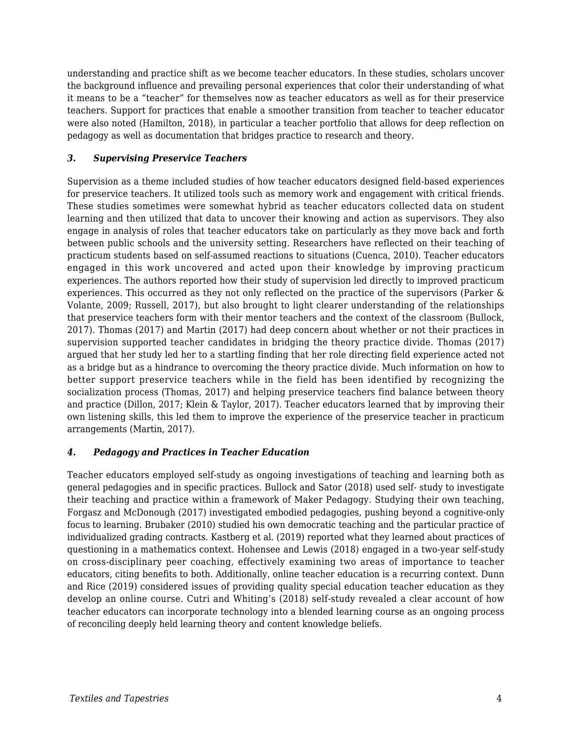understanding and practice shift as we become teacher educators. In these studies, scholars uncover the background influence and prevailing personal experiences that color their understanding of what it means to be a "teacher" for themselves now as teacher educators as well as for their preservice teachers. Support for practices that enable a smoother transition from teacher to teacher educator were also noted (Hamilton, 2018), in particular a teacher portfolio that allows for deep reflection on pedagogy as well as documentation that bridges practice to research and theory.

#### *3. Supervising Preservice Teachers*

Supervision as a theme included studies of how teacher educators designed field-based experiences for preservice teachers. It utilized tools such as memory work and engagement with critical friends. These studies sometimes were somewhat hybrid as teacher educators collected data on student learning and then utilized that data to uncover their knowing and action as supervisors. They also engage in analysis of roles that teacher educators take on particularly as they move back and forth between public schools and the university setting. Researchers have reflected on their teaching of practicum students based on self-assumed reactions to situations (Cuenca, 2010). Teacher educators engaged in this work uncovered and acted upon their knowledge by improving practicum experiences. The authors reported how their study of supervision led directly to improved practicum experiences. This occurred as they not only reflected on the practice of the supervisors (Parker & Volante, 2009; Russell, 2017), but also brought to light clearer understanding of the relationships that preservice teachers form with their mentor teachers and the context of the classroom (Bullock, 2017). Thomas (2017) and Martin (2017) had deep concern about whether or not their practices in supervision supported teacher candidates in bridging the theory practice divide. Thomas (2017) argued that her study led her to a startling finding that her role directing field experience acted not as a bridge but as a hindrance to overcoming the theory practice divide. Much information on how to better support preservice teachers while in the field has been identified by recognizing the socialization process (Thomas, 2017) and helping preservice teachers find balance between theory and practice (Dillon, 2017; Klein & Taylor, 2017). Teacher educators learned that by improving their own listening skills, this led them to improve the experience of the preservice teacher in practicum arrangements (Martin, 2017).

#### *4. Pedagogy and Practices in Teacher Education*

Teacher educators employed self-study as ongoing investigations of teaching and learning both as general pedagogies and in specific practices. Bullock and Sator (2018) used self- study to investigate their teaching and practice within a framework of Maker Pedagogy. Studying their own teaching, Forgasz and McDonough (2017) investigated embodied pedagogies, pushing beyond a cognitive-only focus to learning. Brubaker (2010) studied his own democratic teaching and the particular practice of individualized grading contracts. Kastberg et al. (2019) reported what they learned about practices of questioning in a mathematics context. Hohensee and Lewis (2018) engaged in a two-year self-study on cross-disciplinary peer coaching, effectively examining two areas of importance to teacher educators, citing benefits to both. Additionally, online teacher education is a recurring context. Dunn and Rice (2019) considered issues of providing quality special education teacher education as they develop an online course. Cutri and Whiting's (2018) self-study revealed a clear account of how teacher educators can incorporate technology into a blended learning course as an ongoing process of reconciling deeply held learning theory and content knowledge beliefs.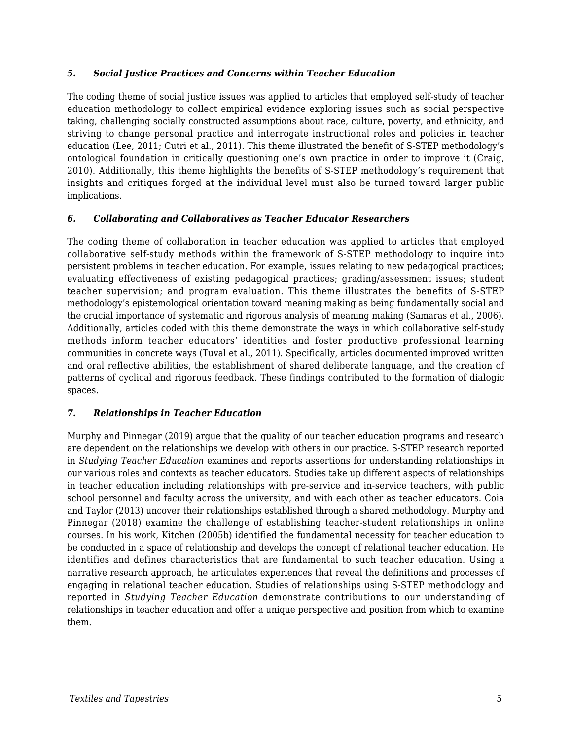#### *5. Social Justice Practices and Concerns within Teacher Education*

The coding theme of social justice issues was applied to articles that employed self-study of teacher education methodology to collect empirical evidence exploring issues such as social perspective taking, challenging socially constructed assumptions about race, culture, poverty, and ethnicity, and striving to change personal practice and interrogate instructional roles and policies in teacher education (Lee, 2011; Cutri et al., 2011). This theme illustrated the benefit of S-STEP methodology's ontological foundation in critically questioning one's own practice in order to improve it (Craig, 2010). Additionally, this theme highlights the benefits of S-STEP methodology's requirement that insights and critiques forged at the individual level must also be turned toward larger public implications.

#### *6. Collaborating and Collaboratives as Teacher Educator Researchers*

The coding theme of collaboration in teacher education was applied to articles that employed collaborative self-study methods within the framework of S-STEP methodology to inquire into persistent problems in teacher education. For example, issues relating to new pedagogical practices; evaluating effectiveness of existing pedagogical practices; grading/assessment issues; student teacher supervision; and program evaluation. This theme illustrates the benefits of S-STEP methodology's epistemological orientation toward meaning making as being fundamentally social and the crucial importance of systematic and rigorous analysis of meaning making (Samaras et al., 2006). Additionally, articles coded with this theme demonstrate the ways in which collaborative self-study methods inform teacher educators' identities and foster productive professional learning communities in concrete ways (Tuval et al., 2011). Specifically, articles documented improved written and oral reflective abilities, the establishment of shared deliberate language, and the creation of patterns of cyclical and rigorous feedback. These findings contributed to the formation of dialogic spaces.

#### *7. Relationships in Teacher Education*

Murphy and Pinnegar (2019) argue that the quality of our teacher education programs and research are dependent on the relationships we develop with others in our practice. S-STEP research reported in *Studying Teacher Education* examines and reports assertions for understanding relationships in our various roles and contexts as teacher educators. Studies take up different aspects of relationships in teacher education including relationships with pre-service and in-service teachers, with public school personnel and faculty across the university, and with each other as teacher educators. Coia and Taylor (2013) uncover their relationships established through a shared methodology. Murphy and Pinnegar (2018) examine the challenge of establishing teacher-student relationships in online courses. In his work, Kitchen (2005b) identified the fundamental necessity for teacher education to be conducted in a space of relationship and develops the concept of relational teacher education. He identifies and defines characteristics that are fundamental to such teacher education. Using a narrative research approach, he articulates experiences that reveal the definitions and processes of engaging in relational teacher education. Studies of relationships using S-STEP methodology and reported in *Studying Teacher Education* demonstrate contributions to our understanding of relationships in teacher education and offer a unique perspective and position from which to examine them.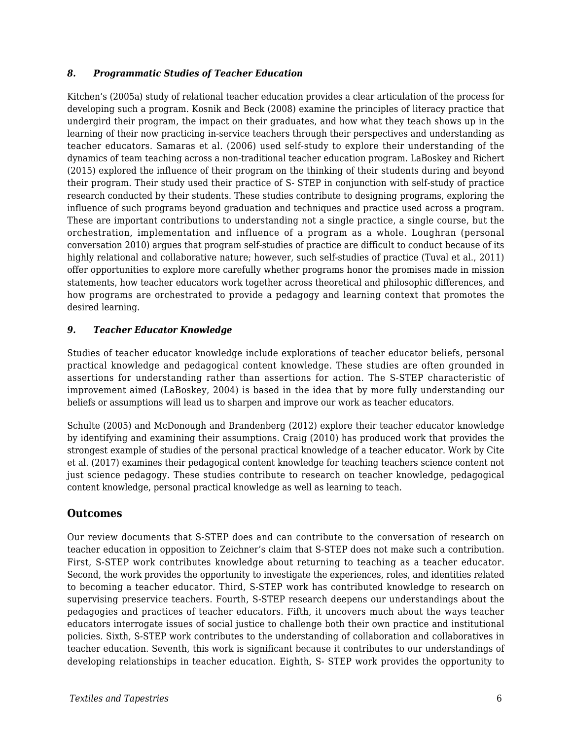#### *8. Programmatic Studies of Teacher Education*

Kitchen's (2005a) study of relational teacher education provides a clear articulation of the process for developing such a program. Kosnik and Beck (2008) examine the principles of literacy practice that undergird their program, the impact on their graduates, and how what they teach shows up in the learning of their now practicing in-service teachers through their perspectives and understanding as teacher educators. Samaras et al. (2006) used self-study to explore their understanding of the dynamics of team teaching across a non-traditional teacher education program. LaBoskey and Richert (2015) explored the influence of their program on the thinking of their students during and beyond their program. Their study used their practice of S- STEP in conjunction with self-study of practice research conducted by their students. These studies contribute to designing programs, exploring the influence of such programs beyond graduation and techniques and practice used across a program. These are important contributions to understanding not a single practice, a single course, but the orchestration, implementation and influence of a program as a whole. Loughran (personal conversation 2010) argues that program self-studies of practice are difficult to conduct because of its highly relational and collaborative nature; however, such self-studies of practice (Tuval et al., 2011) offer opportunities to explore more carefully whether programs honor the promises made in mission statements, how teacher educators work together across theoretical and philosophic differences, and how programs are orchestrated to provide a pedagogy and learning context that promotes the desired learning.

#### *9. Teacher Educator Knowledge*

Studies of teacher educator knowledge include explorations of teacher educator beliefs, personal practical knowledge and pedagogical content knowledge. These studies are often grounded in assertions for understanding rather than assertions for action. The S-STEP characteristic of improvement aimed (LaBoskey, 2004) is based in the idea that by more fully understanding our beliefs or assumptions will lead us to sharpen and improve our work as teacher educators.

Schulte (2005) and McDonough and Brandenberg (2012) explore their teacher educator knowledge by identifying and examining their assumptions. Craig (2010) has produced work that provides the strongest example of studies of the personal practical knowledge of a teacher educator. Work by Cite et al. (2017) examines their pedagogical content knowledge for teaching teachers science content not just science pedagogy. These studies contribute to research on teacher knowledge, pedagogical content knowledge, personal practical knowledge as well as learning to teach.

# **Outcomes**

Our review documents that S-STEP does and can contribute to the conversation of research on teacher education in opposition to Zeichner's claim that S-STEP does not make such a contribution. First, S-STEP work contributes knowledge about returning to teaching as a teacher educator. Second, the work provides the opportunity to investigate the experiences, roles, and identities related to becoming a teacher educator. Third, S-STEP work has contributed knowledge to research on supervising preservice teachers. Fourth, S-STEP research deepens our understandings about the pedagogies and practices of teacher educators. Fifth, it uncovers much about the ways teacher educators interrogate issues of social justice to challenge both their own practice and institutional policies. Sixth, S-STEP work contributes to the understanding of collaboration and collaboratives in teacher education. Seventh, this work is significant because it contributes to our understandings of developing relationships in teacher education. Eighth, S- STEP work provides the opportunity to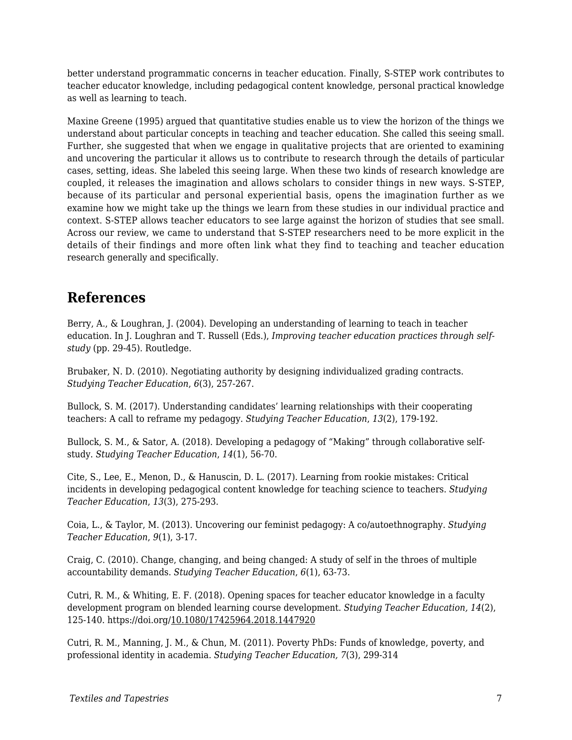better understand programmatic concerns in teacher education. Finally, S-STEP work contributes to teacher educator knowledge, including pedagogical content knowledge, personal practical knowledge as well as learning to teach.

Maxine Greene (1995) argued that quantitative studies enable us to view the horizon of the things we understand about particular concepts in teaching and teacher education. She called this seeing small. Further, she suggested that when we engage in qualitative projects that are oriented to examining and uncovering the particular it allows us to contribute to research through the details of particular cases, setting, ideas. She labeled this seeing large. When these two kinds of research knowledge are coupled, it releases the imagination and allows scholars to consider things in new ways. S-STEP, because of its particular and personal experiential basis, opens the imagination further as we examine how we might take up the things we learn from these studies in our individual practice and context. S-STEP allows teacher educators to see large against the horizon of studies that see small. Across our review, we came to understand that S-STEP researchers need to be more explicit in the details of their findings and more often link what they find to teaching and teacher education research generally and specifically.

# **References**

Berry, A., & Loughran, J. (2004). Developing an understanding of learning to teach in teacher education. In J. Loughran and T. Russell (Eds.), *Improving teacher education practices through selfstudy* (pp. 29-45). Routledge.

Brubaker, N. D. (2010). Negotiating authority by designing individualized grading contracts. *Studying Teacher Education*, *6*(3), 257-267.

Bullock, S. M. (2017). Understanding candidates' learning relationships with their cooperating teachers: A call to reframe my pedagogy. *Studying Teacher Education*, *13*(2), 179-192.

Bullock, S. M., & Sator, A. (2018). Developing a pedagogy of "Making" through collaborative selfstudy. *Studying Teacher Education*, *14*(1), 56-70.

Cite, S., Lee, E., Menon, D., & Hanuscin, D. L. (2017). Learning from rookie mistakes: Critical incidents in developing pedagogical content knowledge for teaching science to teachers. *Studying Teacher Education*, *13*(3), 275-293.

Coia, L., & Taylor, M. (2013). Uncovering our feminist pedagogy: A co/autoethnography. *Studying Teacher Education*, *9*(1), 3-17.

Craig, C. (2010). Change, changing, and being changed: A study of self in the throes of multiple accountability demands. *Studying Teacher Education*, *6*(1), 63-73.

Cutri, R. M., & Whiting, E. F. (2018). Opening spaces for teacher educator knowledge in a faculty development program on blended learning course development. *Studying Teacher Education, 14*(2), 125-140. https://doi.org/10.1080/17425964.2018.1447920

Cutri, R. M., Manning, J. M., & Chun, M. (2011). Poverty PhDs: Funds of knowledge, poverty, and professional identity in academia. *Studying Teacher Education, 7*(3), 299-314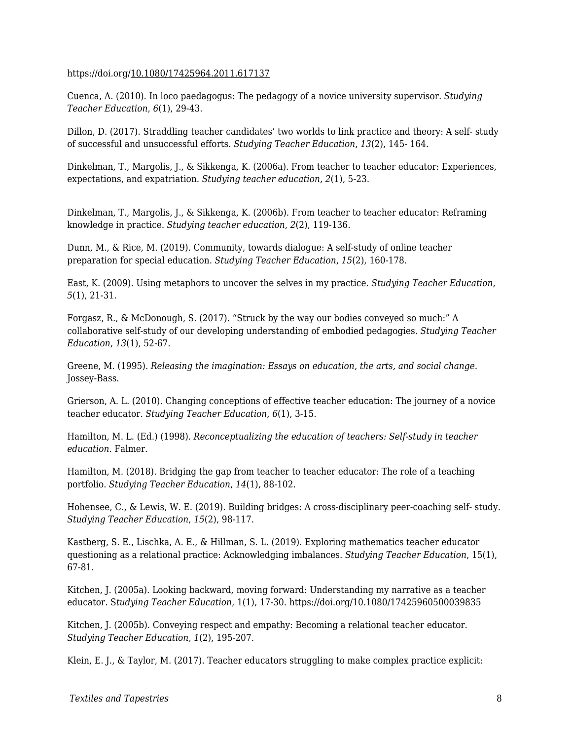#### https://doi.org/10.1080/17425964.2011.617137

Cuenca, A. (2010). In loco paedagogus: The pedagogy of a novice university supervisor. *Studying Teacher Education*, *6*(1), 29-43.

Dillon, D. (2017). Straddling teacher candidates' two worlds to link practice and theory: A self- study of successful and unsuccessful efforts. *Studying Teacher Education*, *13*(2), 145- 164.

Dinkelman, T., Margolis, J., & Sikkenga, K. (2006a). From teacher to teacher educator: Experiences, expectations, and expatriation. *Studying teacher education*, *2*(1), 5-23.

Dinkelman, T., Margolis, J., & Sikkenga, K. (2006b). From teacher to teacher educator: Reframing knowledge in practice. *Studying teacher education*, *2*(2), 119-136.

Dunn, M., & Rice, M. (2019). Community, towards dialogue: A self-study of online teacher preparation for special education. *Studying Teacher Education*, *15*(2), 160-178.

East, K. (2009). Using metaphors to uncover the selves in my practice. *Studying Teacher Education*, *5*(1), 21-31.

Forgasz, R., & McDonough, S. (2017). "Struck by the way our bodies conveyed so much:" A collaborative self-study of our developing understanding of embodied pedagogies. *Studying Teacher Education*, *13*(1), 52-67.

Greene, M. (1995). *Releasing the imagination: Essays on education, the arts, and social change*. Jossey-Bass.

Grierson, A. L. (2010). Changing conceptions of effective teacher education: The journey of a novice teacher educator. *Studying Teacher Education*, *6*(1), 3-15.

Hamilton, M. L. (Ed.) (1998). *Reconceptualizing the education of teachers: Self-study in teacher education.* Falmer.

Hamilton, M. (2018). Bridging the gap from teacher to teacher educator: The role of a teaching portfolio. *Studying Teacher Education*, *14*(1), 88-102.

Hohensee, C., & Lewis, W. E. (2019). Building bridges: A cross-disciplinary peer-coaching self- study. *Studying Teacher Education*, *15*(2), 98-117.

Kastberg, S. E., Lischka, A. E., & Hillman, S. L. (2019). Exploring mathematics teacher educator questioning as a relational practice: Acknowledging imbalances. *Studying Teacher Education*, 15(1), 67-81.

Kitchen, J. (2005a). Looking backward, moving forward: Understanding my narrative as a teacher educator. S*tudying Teacher Education*, 1(1), 17-30. https://doi.org/10.1080/17425960500039835

Kitchen, J. (2005b). Conveying respect and empathy: Becoming a relational teacher educator. *Studying Teacher Education, 1*(2), 195-207.

Klein, E. J., & Taylor, M. (2017). Teacher educators struggling to make complex practice explicit: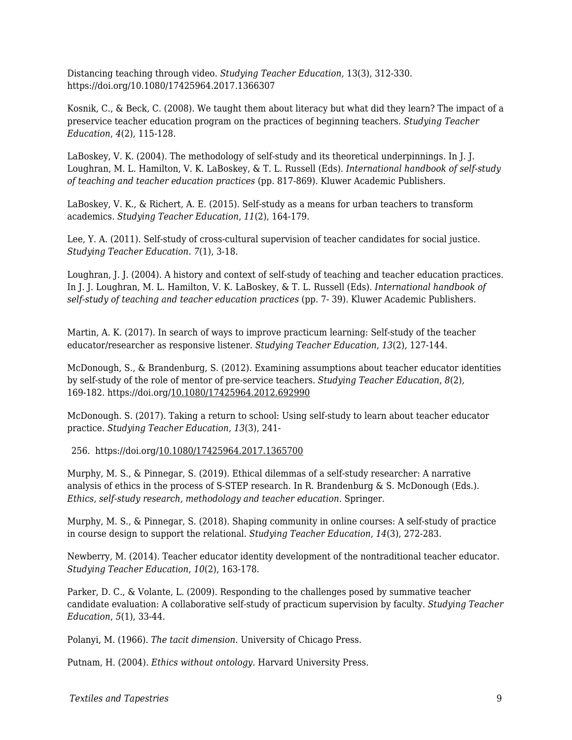Distancing teaching through video. *Studying Teacher Education*, 13(3), 312-330. https://doi.org/10.1080/17425964.2017.1366307

Kosnik, C., & Beck, C. (2008). We taught them about literacy but what did they learn? The impact of a preservice teacher education program on the practices of beginning teachers. *Studying Teacher Education*, *4*(2), 115-128.

LaBoskey, V. K. (2004). The methodology of self-study and its theoretical underpinnings. In J. J. Loughran, M. L. Hamilton, V. K. LaBoskey, & T. L. Russell (Eds). *International handbook of self-study of teaching and teacher education practices* (pp. 817-869). Kluwer Academic Publishers.

LaBoskey, V. K., & Richert, A. E. (2015). Self-study as a means for urban teachers to transform academics. *Studying Teacher Education*, *11*(2), 164-179.

Lee, Y. A. (2011). Self-study of cross-cultural supervision of teacher candidates for social justice. *Studying Teacher Education*. *7*(1), 3-18.

Loughran, J. J. (2004). A history and context of self-study of teaching and teacher education practices. In J. J. Loughran, M. L. Hamilton, V. K. LaBoskey, & T. L. Russell (Eds). *International handbook of self-study of teaching and teacher education practices* (pp. 7- 39). Kluwer Academic Publishers.

Martin, A. K. (2017). In search of ways to improve practicum learning: Self-study of the teacher educator/researcher as responsive listener. *Studying Teacher Education*, *13*(2), 127-144.

McDonough, S., & Brandenburg, S. (2012). Examining assumptions about teacher educator identities by self-study of the role of mentor of pre-service teachers. *Studying Teacher Education*, *8*(2), 169-182. https://doi.org/10.1080/17425964.2012.692990

McDonough. S. (2017). Taking a return to school: Using self-study to learn about teacher educator practice. *Studying Teacher Education, 13*(3), 241-

256. https://doi.org/10.1080/17425964.2017.1365700

Murphy, M. S., & Pinnegar, S. (2019). Ethical dilemmas of a self-study researcher: A narrative analysis of ethics in the process of S-STEP research. In R. Brandenburg & S. McDonough (Eds.). *Ethics, self-study research, methodology and teacher education*. Springer.

Murphy, M. S., & Pinnegar, S. (2018). Shaping community in online courses: A self-study of practice in course design to support the relational. *Studying Teacher Education*, *14*(3), 272-283.

Newberry, M. (2014). Teacher educator identity development of the nontraditional teacher educator. *Studying Teacher Education*, *10*(2), 163-178.

Parker, D. C., & Volante, L. (2009). Responding to the challenges posed by summative teacher candidate evaluation: A collaborative self-study of practicum supervision by faculty. *Studying Teacher Education*, *5*(1), 33-44.

Polanyi, M. (1966). *The tacit dimension*. University of Chicago Press.

Putnam, H. (2004). *Ethics without ontology*. Harvard University Press.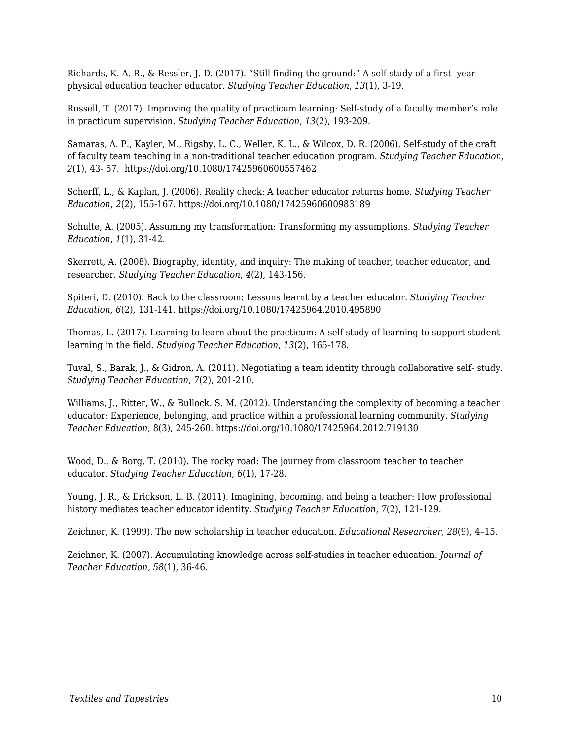Richards, K. A. R., & Ressler, J. D. (2017). "Still finding the ground:" A self-study of a first- year physical education teacher educator. *Studying Teacher Education*, *13*(1), 3-19.

Russell, T. (2017). Improving the quality of practicum learning: Self-study of a faculty member's role in practicum supervision. *Studying Teacher Education*, *13*(2), 193-209.

Samaras, A. P., Kayler, M., Rigsby, L. C., Weller, K. L., & Wilcox, D. R. (2006). Self-study of the craft of faculty team teaching in a non-traditional teacher education program. *Studying Teacher Education, 2*(1), 43- 57. https://doi.org/10.1080/17425960600557462

Scherff, L., & Kaplan, J. (2006). Reality check: A teacher educator returns home. *Studying Teacher Education, 2*(2), 155-167. https://doi.org/10.1080/17425960600983189

Schulte, A. (2005). Assuming my transformation: Transforming my assumptions. *Studying Teacher Education*, *1*(1), 31-42.

Skerrett, A. (2008). Biography, identity, and inquiry: The making of teacher, teacher educator, and researcher. *Studying Teacher Education*, *4*(2), 143-156.

Spiteri, D. (2010). Back to the classroom: Lessons learnt by a teacher educator. *Studying Teacher Education, 6*(2), 131-141. https://doi.org/10.1080/17425964.2010.495890

Thomas, L. (2017). Learning to learn about the practicum: A self-study of learning to support student learning in the field. *Studying Teacher Education*, *13*(2), 165-178.

Tuval, S., Barak, J., & Gidron, A. (2011). Negotiating a team identity through collaborative self- study. *Studying Teacher Education*, *7*(2), 201-210.

Williams, J., Ritter, W., & Bullock. S. M. (2012). Understanding the complexity of becoming a teacher educator: Experience, belonging, and practice within a professional learning community. *Studying Teacher Education*, 8(3), 245-260. https://doi.org/10.1080/17425964.2012.719130

Wood, D., & Borg, T. (2010). The rocky road: The journey from classroom teacher to teacher educator. *Studying Teacher Education*, *6*(1), 17-28.

Young, J. R., & Erickson, L. B. (2011). Imagining, becoming, and being a teacher: How professional history mediates teacher educator identity. *Studying Teacher Education*, *7*(2), 121-129.

Zeichner, K. (1999). The new scholarship in teacher education*. Educational Researcher, 28*(9), 4–15.

Zeichner, K. (2007). Accumulating knowledge across self-studies in teacher education. *Journal of Teacher Education, 58*(1), 36-46.